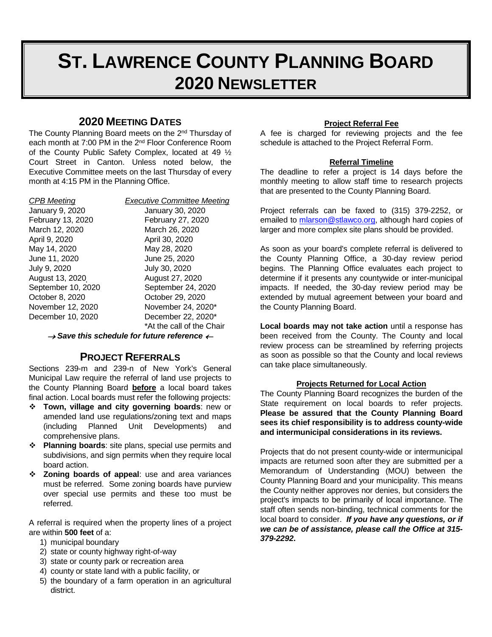# **ST. LAWRENCE COUNTY PLANNING BOARD 2020 NEWSLETTER**

# **2020 MEETING DATES**

The County Planning Board meets on the 2<sup>nd</sup> Thursday of each month at 7:00 PM in the 2nd Floor Conference Room of the County Public Safety Complex, located at 49 ½ Court Street in Canton. Unless noted below, the Executive Committee meets on the last Thursday of every month at 4:15 PM in the Planning Office.

September 10, 2020

*CPB Meeting Executive Committee Meeting* January 9, 2020 January 30, 2020 February 13, 2020 February 27, 2020 March 12, 2020<br>
April 9, 2020<br>
April 30, 2020<br>
April 30, 2020 April 30, 2020 May 14, 2020 May 28, 2020 June 25, 2020 July 9, 2020 July 30, 2020 August 13, 2020<br>
September 10, 2020<br>
September 24, 2020 October 8, 2020 October 29, 2020 November 12, 2020 November 24, 2020\* December 10, 2020 December 22, 2020\* \*At the call of the Chair

<sup>→</sup> *Save this schedule for future reference* <sup>←</sup>

### **PROJECT REFERRALS**

Sections 239-m and 239-n of New York's General Municipal Law require the referral of land use projects to the County Planning Board **before** a local board takes final action. Local boards must refer the following projects:

- **Town, village and city governing boards**: new or amended land use regulations/zoning text and maps (including Planned Unit Developments) and comprehensive plans.
- **Planning boards**: site plans, special use permits and subdivisions, and sign permits when they require local board action.
- **Zoning boards of appeal**: use and area variances must be referred. Some zoning boards have purview over special use permits and these too must be referred.

A referral is required when the property lines of a project are within **500 feet** of a:

- 1) municipal boundary
- 2) state or county highway right-of-way
- 3) state or county park or recreation area
- 4) county or state land with a public facility, or
- 5) the boundary of a farm operation in an agricultural district.

#### **Project Referral Fee**

A fee is charged for reviewing projects and the fee schedule is attached to the Project Referral Form.

### **Referral Timeline**

The deadline to refer a project is 14 days before the monthly meeting to allow staff time to research projects that are presented to the County Planning Board.

Project referrals can be faxed to (315) 379-2252, or emailed to [mlarson@stlawco.org,](mailto:mlarson@stlawco.org) although hard copies of larger and more complex site plans should be provided.

As soon as your board's complete referral is delivered to the County Planning Office, a 30-day review period begins. The Planning Office evaluates each project to determine if it presents any countywide or inter-municipal impacts. If needed, the 30-day review period may be extended by mutual agreement between your board and the County Planning Board.

**Local boards may not take action** until a response has been received from the County. The County and local review process can be streamlined by referring projects as soon as possible so that the County and local reviews can take place simultaneously.

### **Projects Returned for Local Action**

The County Planning Board recognizes the burden of the State requirement on local boards to refer projects. **Please be assured that the County Planning Board sees its chief responsibility is to address county-wide and intermunicipal considerations in its reviews.**

Projects that do not present county-wide or intermunicipal impacts are returned soon after they are submitted per a Memorandum of Understanding (MOU) between the County Planning Board and your municipality. This means the County neither approves nor denies, but considers the project's impacts to be primarily of local importance. The staff often sends non-binding, technical comments for the local board to consider. *If you have any questions, or if we can be of assistance, please call the Office at 315- 379-2292***.**